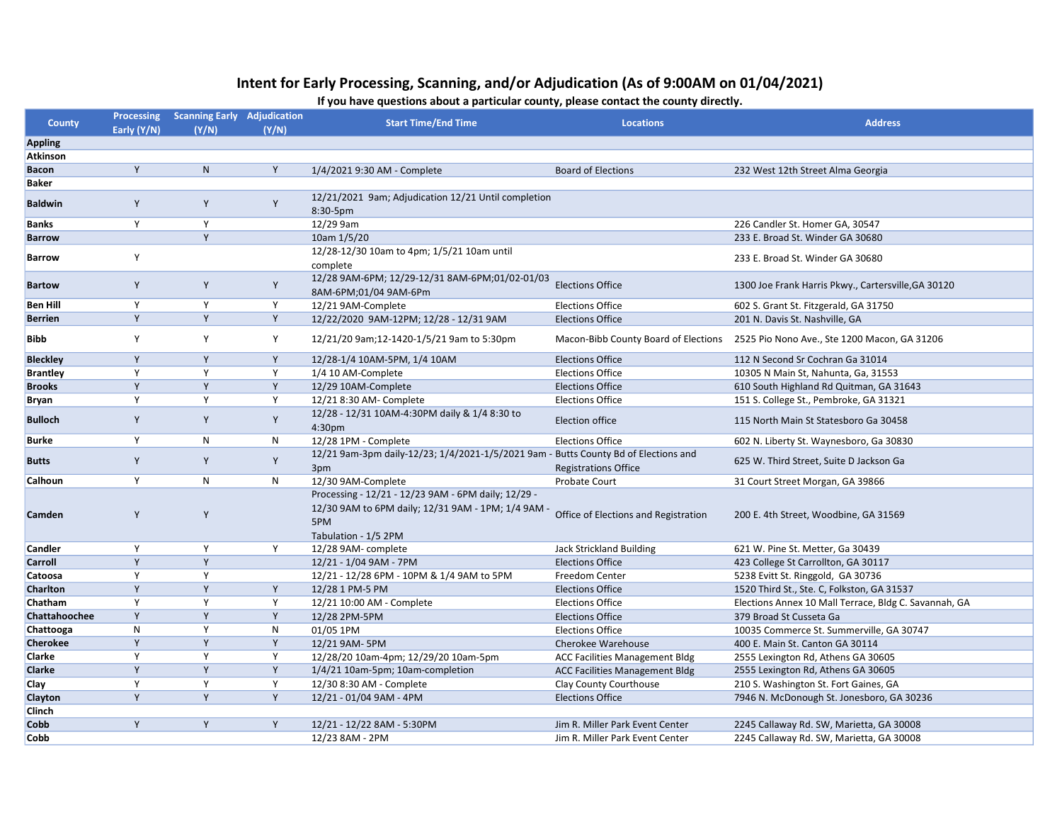## Intent for Early Processing, Scanning, and/or Adjudication (As of 9:00AM on 01/04/2021)

If you have questions about a particular county, please contact the county directly.

| County          | <b>Processing</b><br>Early (Y/N) | <b>Scanning Early Adjudication</b><br>(Y/N) | (Y/N) | <b>Start Time/End Time</b>                                                                                                             | <b>Locations</b>                      | <b>Address</b>                                        |
|-----------------|----------------------------------|---------------------------------------------|-------|----------------------------------------------------------------------------------------------------------------------------------------|---------------------------------------|-------------------------------------------------------|
| <b>Appling</b>  |                                  |                                             |       |                                                                                                                                        |                                       |                                                       |
| <b>Atkinson</b> |                                  |                                             |       |                                                                                                                                        |                                       |                                                       |
| <b>Bacon</b>    | Y                                | N                                           | Y     | 1/4/2021 9:30 AM - Complete                                                                                                            | <b>Board of Elections</b>             | 232 West 12th Street Alma Georgia                     |
| <b>Baker</b>    |                                  |                                             |       |                                                                                                                                        |                                       |                                                       |
| <b>Baldwin</b>  | Y                                | Y                                           | Y     | 12/21/2021 9am; Adjudication 12/21 Until completion<br>8:30-5pm                                                                        |                                       |                                                       |
| <b>Banks</b>    | Υ                                | Y                                           |       | 12/29 9am                                                                                                                              |                                       | 226 Candler St. Homer GA, 30547                       |
| <b>Barrow</b>   |                                  | Y                                           |       | 10am 1/5/20                                                                                                                            |                                       | 233 E. Broad St. Winder GA 30680                      |
| <b>Barrow</b>   | Υ                                |                                             |       | 12/28-12/30 10am to 4pm; 1/5/21 10am until<br>complete                                                                                 |                                       | 233 E. Broad St. Winder GA 30680                      |
| <b>Bartow</b>   | Y                                | Y                                           | Y     | 12/28 9AM-6PM; 12/29-12/31 8AM-6PM;01/02-01/03<br>8AM-6PM;01/04 9AM-6Pm                                                                | <b>Elections Office</b>               | 1300 Joe Frank Harris Pkwy., Cartersville, GA 30120   |
| <b>Ben Hill</b> | Υ                                | Y                                           | Υ     | 12/21 9AM-Complete                                                                                                                     | <b>Elections Office</b>               | 602 S. Grant St. Fitzgerald, GA 31750                 |
| <b>Berrien</b>  | Y                                | Y                                           | Y     | 12/22/2020 9AM-12PM; 12/28 - 12/31 9AM                                                                                                 | <b>Elections Office</b>               | 201 N. Davis St. Nashville, GA                        |
| Bibb            | Y                                | Y                                           | Y     | 12/21/20 9am;12-1420-1/5/21 9am to 5:30pm                                                                                              | Macon-Bibb County Board of Elections  | 2525 Pio Nono Ave., Ste 1200 Macon, GA 31206          |
| <b>Bleckley</b> | Y                                | Y                                           | Y     | 12/28-1/4 10AM-5PM, 1/4 10AM                                                                                                           | <b>Elections Office</b>               | 112 N Second Sr Cochran Ga 31014                      |
| <b>Brantley</b> | Y                                | Y                                           | Y     | 1/4 10 AM-Complete                                                                                                                     | <b>Elections Office</b>               | 10305 N Main St, Nahunta, Ga, 31553                   |
| <b>Brooks</b>   | Y                                | Y                                           | Y     | 12/29 10AM-Complete                                                                                                                    | <b>Elections Office</b>               | 610 South Highland Rd Quitman, GA 31643               |
| Bryan           | Υ                                | Y                                           | Y     | 12/21 8:30 AM- Complete                                                                                                                | <b>Elections Office</b>               | 151 S. College St., Pembroke, GA 31321                |
| <b>Bulloch</b>  | Y                                | Y                                           | Y     | 12/28 - 12/31 10AM-4:30PM daily & 1/4 8:30 to<br>4:30 <sub>pm</sub>                                                                    | <b>Election office</b>                | 115 North Main St Statesboro Ga 30458                 |
| <b>Burke</b>    | Υ                                | N                                           | N     | 12/28 1PM - Complete                                                                                                                   | <b>Elections Office</b>               | 602 N. Liberty St. Waynesboro, Ga 30830               |
| <b>Butts</b>    | Y                                | Y                                           | Y     | 12/21 9am-3pm daily-12/23; 1/4/2021-1/5/2021 9am - Butts County Bd of Elections and<br>3pm                                             | <b>Registrations Office</b>           | 625 W. Third Street, Suite D Jackson Ga               |
| Calhoun         | Y                                | N                                           | N     | 12/30 9AM-Complete                                                                                                                     | Probate Court                         | 31 Court Street Morgan, GA 39866                      |
| Camden          | Y                                | Y                                           |       | Processing - 12/21 - 12/23 9AM - 6PM daily; 12/29 -<br>12/30 9AM to 6PM daily; 12/31 9AM - 1PM; 1/4 9AM<br>5PM<br>Tabulation - 1/5 2PM | Office of Elections and Registration  | 200 E. 4th Street, Woodbine, GA 31569                 |
| Candler         | Y                                | Y                                           | Y     | 12/28 9AM- complete                                                                                                                    | <b>Jack Strickland Building</b>       | 621 W. Pine St. Metter, Ga 30439                      |
| Carroll         | Y                                | Y                                           |       | 12/21 - 1/04 9AM - 7PM                                                                                                                 | <b>Elections Office</b>               | 423 College St Carrollton, GA 30117                   |
| Catoosa         | Y                                | Y                                           |       | 12/21 - 12/28 6PM - 10PM & 1/4 9AM to 5PM                                                                                              | Freedom Center                        | 5238 Evitt St. Ringgold, GA 30736                     |
| Charlton        | Y                                | Y                                           | Υ     | 12/28 1 PM-5 PM                                                                                                                        | <b>Elections Office</b>               | 1520 Third St., Ste. C, Folkston, GA 31537            |
| Chatham         | Υ                                | Υ                                           | Y     | 12/21 10:00 AM - Complete                                                                                                              | <b>Elections Office</b>               | Elections Annex 10 Mall Terrace, Bldg C. Savannah, GA |
| Chattahoochee   | Y                                | Y                                           | Y     | 12/28 2PM-5PM                                                                                                                          | <b>Elections Office</b>               | 379 Broad St Cusseta Ga                               |
| Chattooga       | N                                | Y                                           | N     | 01/05 1PM                                                                                                                              | <b>Elections Office</b>               | 10035 Commerce St. Summerville, GA 30747              |
| <b>Cherokee</b> | Y                                | Y                                           | Y     | 12/21 9AM-5PM                                                                                                                          | Cherokee Warehouse                    | 400 E. Main St. Canton GA 30114                       |
| Clarke          | Y                                | Y                                           | Y     | 12/28/20 10am-4pm; 12/29/20 10am-5pm                                                                                                   | <b>ACC Facilities Management Bldg</b> | 2555 Lexington Rd, Athens GA 30605                    |
| Clarke          | Y                                | Y                                           | Y     | 1/4/21 10am-5pm; 10am-completion                                                                                                       | <b>ACC Facilities Management Bldg</b> | 2555 Lexington Rd, Athens GA 30605                    |
| Clay            | Y                                | Y                                           | Y     | 12/30 8:30 AM - Complete                                                                                                               | Clay County Courthouse                | 210 S. Washington St. Fort Gaines, GA                 |
| Clayton         | Y                                | Y                                           | Y     | 12/21 - 01/04 9AM - 4PM                                                                                                                | <b>Elections Office</b>               | 7946 N. McDonough St. Jonesboro, GA 30236             |
| Clinch          |                                  |                                             |       |                                                                                                                                        |                                       |                                                       |
| Cobb            | Y                                | Y                                           | Υ     | 12/21 - 12/22 8AM - 5:30PM                                                                                                             | Jim R. Miller Park Event Center       | 2245 Callaway Rd. SW, Marietta, GA 30008              |
| Cobb            |                                  |                                             |       | 12/23 8AM - 2PM                                                                                                                        | Jim R. Miller Park Event Center       | 2245 Callaway Rd. SW, Marietta, GA 30008              |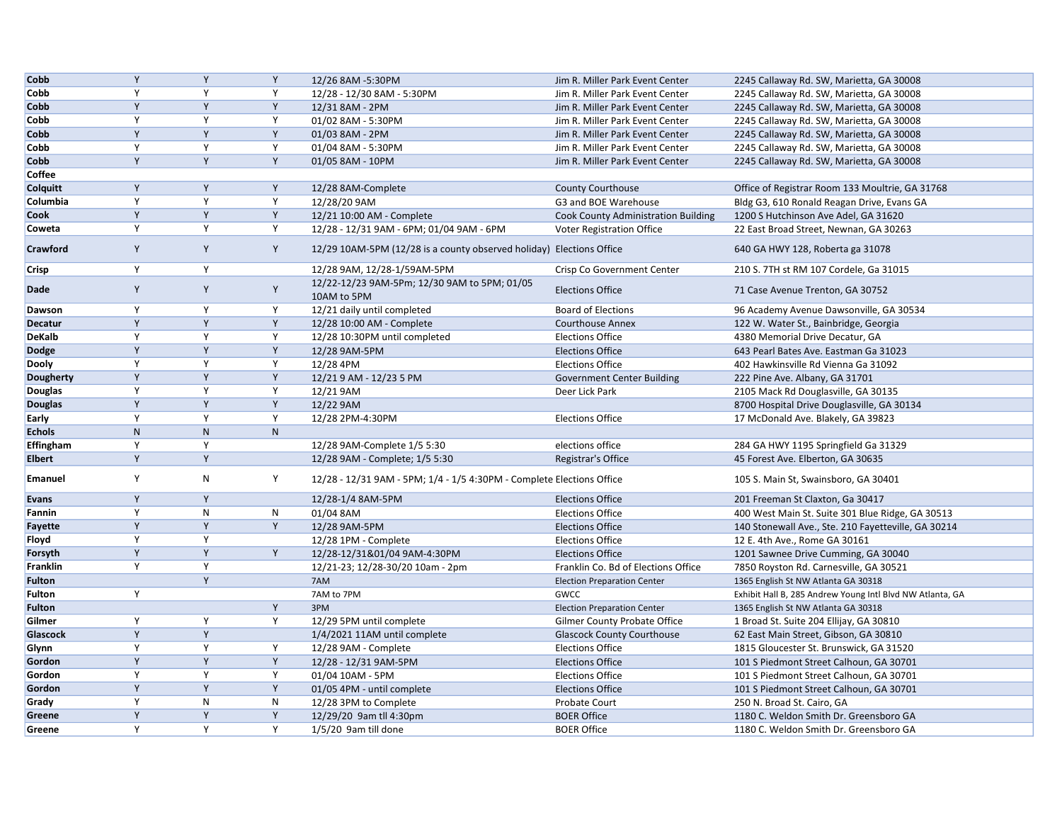| Cobb             | Y            | Y         | Y         | 12/26 8AM -5:30PM                                                     | Jim R. Miller Park Event Center            | 2245 Callaway Rd. SW, Marietta, GA 30008                  |
|------------------|--------------|-----------|-----------|-----------------------------------------------------------------------|--------------------------------------------|-----------------------------------------------------------|
| Cobb             | Y            | Y         | Y         | 12/28 - 12/30 8AM - 5:30PM                                            | Jim R. Miller Park Event Center            | 2245 Callaway Rd. SW, Marietta, GA 30008                  |
| Cobb             | Y            | Y         | Y         | 12/31 8AM - 2PM                                                       | Jim R. Miller Park Event Center            | 2245 Callaway Rd. SW, Marietta, GA 30008                  |
| Cobb             | Υ            | Y         | Y         | 01/02 8AM - 5:30PM                                                    | Jim R. Miller Park Event Center            | 2245 Callaway Rd. SW, Marietta, GA 30008                  |
| Cobb             | Y            | Y         | Y         | 01/03 8AM - 2PM                                                       | Jim R. Miller Park Event Center            | 2245 Callaway Rd. SW, Marietta, GA 30008                  |
| Cobb             | Y            | Y         | Y         | 01/04 8AM - 5:30PM                                                    | Jim R. Miller Park Event Center            | 2245 Callaway Rd. SW, Marietta, GA 30008                  |
| Cobb             | Y            | Y         | Y         | 01/05 8AM - 10PM                                                      | Jim R. Miller Park Event Center            | 2245 Callaway Rd. SW, Marietta, GA 30008                  |
| Coffee           |              |           |           |                                                                       |                                            |                                                           |
| Colquitt         | Y            | Y         | Υ         | 12/28 8AM-Complete                                                    | <b>County Courthouse</b>                   | Office of Registrar Room 133 Moultrie, GA 31768           |
| Columbia         | Y            | Y         | Y         | 12/28/20 9AM                                                          | G3 and BOE Warehouse                       | Bldg G3, 610 Ronald Reagan Drive, Evans GA                |
| Cook             | Y            | Y         | Y         | 12/21 10:00 AM - Complete                                             | <b>Cook County Administration Building</b> | 1200 S Hutchinson Ave Adel, GA 31620                      |
| Coweta           | Y            | Y         | Y         | 12/28 - 12/31 9AM - 6PM; 01/04 9AM - 6PM                              | Voter Registration Office                  | 22 East Broad Street, Newnan, GA 30263                    |
| Crawford         | Y            | Y         | Y         | 12/29 10AM-5PM (12/28 is a county observed holiday) Elections Office  |                                            | 640 GA HWY 128, Roberta ga 31078                          |
| Crisp            | Υ            | Y         |           | 12/28 9AM, 12/28-1/59AM-5PM                                           | Crisp Co Government Center                 | 210 S. 7TH st RM 107 Cordele, Ga 31015                    |
| <b>Dade</b>      | Y            | Υ         | Υ         | 12/22-12/23 9AM-5Pm; 12/30 9AM to 5PM; 01/05<br>10AM to 5PM           | <b>Elections Office</b>                    | 71 Case Avenue Trenton, GA 30752                          |
| Dawson           | Y            | Y         | Y         | 12/21 daily until completed                                           | <b>Board of Elections</b>                  | 96 Academy Avenue Dawsonville, GA 30534                   |
| <b>Decatur</b>   | Y            | Y         | Υ         | 12/28 10:00 AM - Complete                                             | <b>Courthouse Annex</b>                    | 122 W. Water St., Bainbridge, Georgia                     |
| <b>DeKalb</b>    | Y            | Y         | Y         | 12/28 10:30PM until completed                                         | <b>Elections Office</b>                    | 4380 Memorial Drive Decatur, GA                           |
| <b>Dodge</b>     | Y            | Y         | Υ         | 12/28 9AM-5PM                                                         | <b>Elections Office</b>                    | 643 Pearl Bates Ave. Eastman Ga 31023                     |
| Dooly            | Y            | Y         | Y         | 12/28 4PM                                                             | <b>Elections Office</b>                    | 402 Hawkinsville Rd Vienna Ga 31092                       |
| <b>Dougherty</b> | Y            | Y         | Υ         | 12/21 9 AM - 12/23 5 PM                                               | <b>Government Center Building</b>          | 222 Pine Ave. Albany, GA 31701                            |
| Douglas          | Y            | Y         | Y         | 12/21 9AM                                                             | Deer Lick Park                             | 2105 Mack Rd Douglasville, GA 30135                       |
| <b>Douglas</b>   | Y            | Y         | Y         | 12/22 9AM                                                             |                                            | 8700 Hospital Drive Douglasville, GA 30134                |
| Early            | Y            | Y         | Y         | 12/28 2PM-4:30PM                                                      | <b>Elections Office</b>                    | 17 McDonald Ave. Blakely, GA 39823                        |
| <b>Echols</b>    | $\mathsf{N}$ | ${\sf N}$ | ${\sf N}$ |                                                                       |                                            |                                                           |
| Effingham        | Υ            | Y         |           | 12/28 9AM-Complete 1/5 5:30                                           | elections office                           | 284 GA HWY 1195 Springfield Ga 31329                      |
| <b>Elbert</b>    | Y            | Y         |           | 12/28 9AM - Complete; 1/5 5:30                                        | Registrar's Office                         | 45 Forest Ave. Elberton, GA 30635                         |
| <b>Emanuel</b>   | Υ            | N         | Υ         | 12/28 - 12/31 9AM - 5PM; 1/4 - 1/5 4:30PM - Complete Elections Office |                                            | 105 S. Main St, Swainsboro, GA 30401                      |
| <b>Evans</b>     | Y            | Y         |           | 12/28-1/4 8AM-5PM                                                     | <b>Elections Office</b>                    | 201 Freeman St Claxton, Ga 30417                          |
| Fannin           | Y            | ${\sf N}$ | N         | 01/04 8AM                                                             | <b>Elections Office</b>                    | 400 West Main St. Suite 301 Blue Ridge, GA 30513          |
| <b>Fayette</b>   | Y            | Y         | Y         | 12/28 9AM-5PM                                                         | <b>Elections Office</b>                    | 140 Stonewall Ave., Ste. 210 Fayetteville, GA 30214       |
| Floyd            | Y            | Y         |           | 12/28 1PM - Complete                                                  | <b>Elections Office</b>                    | 12 E. 4th Ave., Rome GA 30161                             |
| Forsyth          | Y            | Y         | Y         | 12/28-12/31&01/04 9AM-4:30PM                                          | <b>Elections Office</b>                    | 1201 Sawnee Drive Cumming, GA 30040                       |
| <b>Franklin</b>  | Y            | Y         |           | 12/21-23; 12/28-30/20 10am - 2pm                                      | Franklin Co. Bd of Elections Office        | 7850 Royston Rd. Carnesville, GA 30521                    |
| <b>Fulton</b>    |              | Y         |           | 7AM                                                                   | <b>Election Preparation Center</b>         | 1365 English St NW Atlanta GA 30318                       |
| <b>Fulton</b>    | Y            |           |           | 7AM to 7PM                                                            | <b>GWCC</b>                                | Exhibit Hall B, 285 Andrew Young Intl Blvd NW Atlanta, GA |
| <b>Fulton</b>    |              |           | Υ         | 3PM                                                                   | <b>Election Preparation Center</b>         | 1365 English St NW Atlanta GA 30318                       |
| Gilmer           | Υ            | Y         | Y         | 12/29 5PM until complete                                              | <b>Gilmer County Probate Office</b>        | 1 Broad St. Suite 204 Ellijay, GA 30810                   |
| Glascock         | Y            | Y         |           | 1/4/2021 11AM until complete                                          | <b>Glascock County Courthouse</b>          | 62 East Main Street, Gibson, GA 30810                     |
| Glynn            | Y            | Y         | Y         | 12/28 9AM - Complete                                                  | <b>Elections Office</b>                    | 1815 Gloucester St. Brunswick, GA 31520                   |
| Gordon           | Y            | Y         | Υ         | 12/28 - 12/31 9AM-5PM                                                 | <b>Elections Office</b>                    | 101 S Piedmont Street Calhoun, GA 30701                   |
| Gordon           | Y            | Y         | Y         | 01/04 10AM - 5PM                                                      | <b>Elections Office</b>                    | 101 S Piedmont Street Calhoun, GA 30701                   |
| Gordon           | Y            | Y         | Y         | 01/05 4PM - until complete                                            | <b>Elections Office</b>                    | 101 S Piedmont Street Calhoun, GA 30701                   |
| Grady            | Υ            | N         | ${\sf N}$ | 12/28 3PM to Complete                                                 | Probate Court                              | 250 N. Broad St. Cairo, GA                                |
| Greene           | Y            | Y         | Y         | 12/29/20 9am tll 4:30pm                                               | <b>BOER Office</b>                         | 1180 C. Weldon Smith Dr. Greensboro GA                    |
| Greene           | Υ            | Y         | Υ         | 1/5/20 9am till done                                                  | <b>BOER Office</b>                         | 1180 C. Weldon Smith Dr. Greensboro GA                    |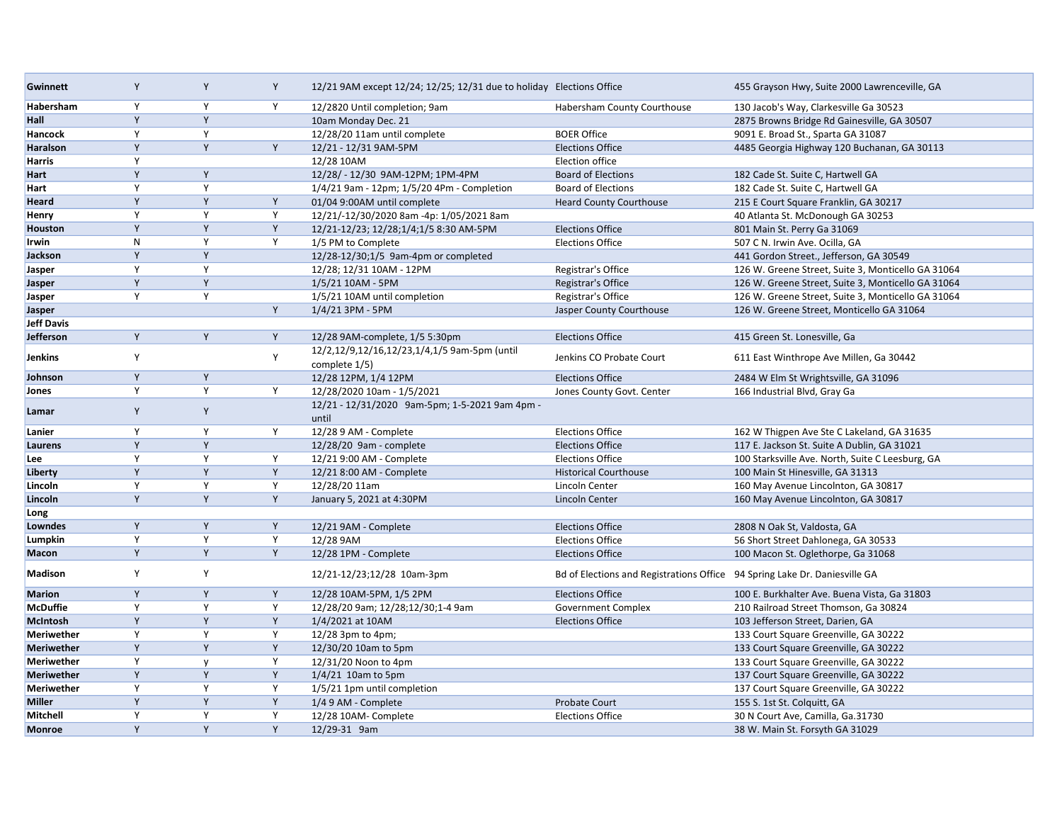| <b>Gwinnett</b>   | Y           | Y            | Y | 12/21 9AM except 12/24; 12/25; 12/31 due to holiday Elections Office |                                                                            | 455 Grayson Hwy, Suite 2000 Lawrenceville, GA      |
|-------------------|-------------|--------------|---|----------------------------------------------------------------------|----------------------------------------------------------------------------|----------------------------------------------------|
| Habersham         | Y           | Y            | Y | 12/2820 Until completion; 9am                                        | Habersham County Courthouse                                                | 130 Jacob's Way, Clarkesville Ga 30523             |
| Hall              | Y           | Y            |   | 10am Monday Dec. 21                                                  |                                                                            | 2875 Browns Bridge Rd Gainesville, GA 30507        |
| Hancock           | Y           | Y            |   | 12/28/20 11am until complete                                         | <b>BOER Office</b>                                                         | 9091 E. Broad St., Sparta GA 31087                 |
| <b>Haralson</b>   | Y           | Y            | Y | 12/21 - 12/31 9AM-5PM                                                | <b>Elections Office</b>                                                    | 4485 Georgia Highway 120 Buchanan, GA 30113        |
| Harris            | Y           |              |   | 12/28 10AM                                                           | Election office                                                            |                                                    |
| Hart              | Y           | Y            |   | 12/28/-12/30 9AM-12PM; 1PM-4PM                                       | <b>Board of Elections</b>                                                  | 182 Cade St. Suite C, Hartwell GA                  |
| Hart              | Y           | Y            |   | 1/4/21 9am - 12pm; 1/5/20 4Pm - Completion                           | <b>Board of Elections</b>                                                  | 182 Cade St. Suite C, Hartwell GA                  |
| Heard             | Y           | $\mathsf{Y}$ | Υ | 01/04 9:00AM until complete                                          | <b>Heard County Courthouse</b>                                             | 215 E Court Square Franklin, GA 30217              |
| Henry             | Y           | Y            | Y | 12/21/-12/30/2020 8am -4p: 1/05/2021 8am                             |                                                                            | 40 Atlanta St. McDonough GA 30253                  |
| <b>Houston</b>    | Y           | Y            | Υ | 12/21-12/23; 12/28;1/4;1/5 8:30 AM-5PM                               | <b>Elections Office</b>                                                    | 801 Main St. Perry Ga 31069                        |
| Irwin             | ${\sf N}$   | Y            | Y | 1/5 PM to Complete                                                   | <b>Elections Office</b>                                                    | 507 C N. Irwin Ave. Ocilla, GA                     |
| Jackson           | Y           | Y            |   | 12/28-12/30;1/5 9am-4pm or completed                                 |                                                                            | 441 Gordon Street., Jefferson, GA 30549            |
| Jasper            | Y           | Y            |   | 12/28; 12/31 10AM - 12PM                                             | Registrar's Office                                                         | 126 W. Greene Street, Suite 3, Monticello GA 31064 |
| Jasper            | Y           | Y            |   | 1/5/21 10AM - 5PM                                                    | Registrar's Office                                                         | 126 W. Greene Street, Suite 3, Monticello GA 31064 |
| Jasper            | Y           | Y            |   | 1/5/21 10AM until completion                                         | Registrar's Office                                                         | 126 W. Greene Street, Suite 3, Monticello GA 31064 |
| Jasper            |             |              | Y | 1/4/21 3PM - 5PM                                                     | Jasper County Courthouse                                                   | 126 W. Greene Street, Monticello GA 31064          |
| <b>Jeff Davis</b> |             |              |   |                                                                      |                                                                            |                                                    |
| Jefferson         | Y           | Y            | Y | 12/28 9AM-complete, 1/5 5:30pm                                       | <b>Elections Office</b>                                                    | 415 Green St. Lonesville, Ga                       |
| Jenkins           | Y           |              | Υ | 12/2,12/9,12/16,12/23,1/4,1/5 9am-5pm (until<br>complete 1/5)        | Jenkins CO Probate Court                                                   | 611 East Winthrope Ave Millen, Ga 30442            |
| Johnson           | Y           | Y            |   | 12/28 12PM, 1/4 12PM                                                 | <b>Elections Office</b>                                                    | 2484 W Elm St Wrightsville, GA 31096               |
| Jones             | Y           | Y            | Υ | 12/28/2020 10am - 1/5/2021                                           | Jones County Govt. Center                                                  | 166 Industrial Blvd, Gray Ga                       |
| Lamar             | Y           | Y            |   | 12/21 - 12/31/2020 9am-5pm; 1-5-2021 9am 4pm -<br>until              |                                                                            |                                                    |
| Lanier            | Y           | Y            | Y | 12/28 9 AM - Complete                                                | <b>Elections Office</b>                                                    | 162 W Thigpen Ave Ste C Lakeland, GA 31635         |
| Laurens           | Y           | Y            |   | 12/28/20 9am - complete                                              | <b>Elections Office</b>                                                    | 117 E. Jackson St. Suite A Dublin, GA 31021        |
| Lee               | Y           | Y            | Y | 12/21 9:00 AM - Complete                                             | <b>Elections Office</b>                                                    | 100 Starksville Ave. North, Suite C Leesburg, GA   |
| Liberty           | Y           | Y            | Y | 12/21 8:00 AM - Complete                                             | <b>Historical Courthouse</b>                                               | 100 Main St Hinesville, GA 31313                   |
| Lincoln           | Y           | Y            | Y | 12/28/20 11am                                                        | Lincoln Center                                                             | 160 May Avenue Lincolnton, GA 30817                |
| Lincoln           | Y           | Y            | Y | January 5, 2021 at 4:30PM                                            | Lincoln Center                                                             | 160 May Avenue Lincolnton, GA 30817                |
| Long              |             |              |   |                                                                      |                                                                            |                                                    |
| Lowndes           | Y           | Y            | Y | 12/21 9AM - Complete                                                 | <b>Elections Office</b>                                                    | 2808 N Oak St, Valdosta, GA                        |
| Lumpkin           | Y           | Y            | Y | 12/28 9AM                                                            | <b>Elections Office</b>                                                    | 56 Short Street Dahlonega, GA 30533                |
| Macon             | Y           | Y            | Y | 12/28 1PM - Complete                                                 | <b>Elections Office</b>                                                    | 100 Macon St. Oglethorpe, Ga 31068                 |
| Madison           | Y           | Y            |   | 12/21-12/23;12/28 10am-3pm                                           | Bd of Elections and Registrations Office 94 Spring Lake Dr. Daniesville GA |                                                    |
| Marion            | $\mathsf Y$ | Y            | Y | 12/28 10AM-5PM, 1/5 2PM                                              | <b>Elections Office</b>                                                    | 100 E. Burkhalter Ave. Buena Vista, Ga 31803       |
| McDuffie          | Y           | Y            | Υ | 12/28/20 9am; 12/28;12/30;1-4 9am                                    | Government Complex                                                         | 210 Railroad Street Thomson, Ga 30824              |
| McIntosh          | Y           | Y            | Y | 1/4/2021 at 10AM                                                     | <b>Elections Office</b>                                                    | 103 Jefferson Street, Darien, GA                   |
| <b>Meriwether</b> | Y           | Y            | Υ | 12/28 3pm to 4pm;                                                    |                                                                            | 133 Court Square Greenville, GA 30222              |
| <b>Meriwether</b> | Y           | Y            | Υ | 12/30/20 10am to 5pm                                                 |                                                                            | 133 Court Square Greenville, GA 30222              |
| <b>Meriwether</b> | Y           | $\mathsf{v}$ | Y | 12/31/20 Noon to 4pm                                                 |                                                                            | 133 Court Square Greenville, GA 30222              |
| <b>Meriwether</b> | Y           | Y            | Υ | $1/4/21$ 10am to 5pm                                                 |                                                                            | 137 Court Square Greenville, GA 30222              |
| Meriwether        | Y           | Y            | Y | 1/5/21 1pm until completion                                          |                                                                            | 137 Court Square Greenville, GA 30222              |
| Miller            | Y           | Y            | Y | 1/4 9 AM - Complete                                                  | <b>Probate Court</b>                                                       | 155 S. 1st St. Colquitt, GA                        |
| Mitchell          | Y           | Y            | Y | 12/28 10AM- Complete                                                 | <b>Elections Office</b>                                                    | 30 N Court Ave, Camilla, Ga.31730                  |
| Monroe            | Y           | Y            | Y | 12/29-31 9am                                                         |                                                                            | 38 W. Main St. Forsyth GA 31029                    |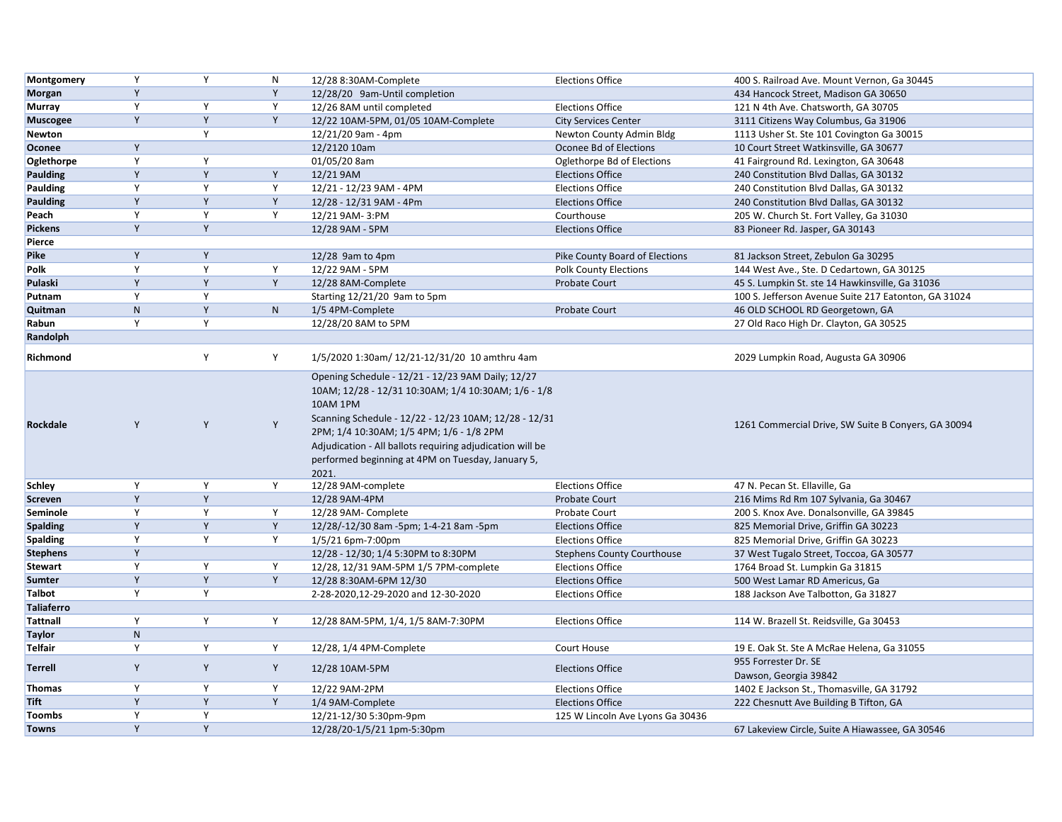| Montgomery        | Y            | Y           | N            | 12/28 8:30AM-Complete                                                                                                                                                                                                                    | <b>Elections Office</b>           | 400 S. Railroad Ave. Mount Vernon, Ga 30445          |
|-------------------|--------------|-------------|--------------|------------------------------------------------------------------------------------------------------------------------------------------------------------------------------------------------------------------------------------------|-----------------------------------|------------------------------------------------------|
| Morgan            | Y            |             | Y            | 12/28/20 9am-Until completion                                                                                                                                                                                                            |                                   | 434 Hancock Street, Madison GA 30650                 |
| <b>Murray</b>     | Y            | Y           | Y            | 12/26 8AM until completed                                                                                                                                                                                                                | <b>Elections Office</b>           | 121 N 4th Ave. Chatsworth, GA 30705                  |
| <b>Muscogee</b>   | Υ            | Y           | Y            | 12/22 10AM-5PM, 01/05 10AM-Complete                                                                                                                                                                                                      | <b>City Services Center</b>       | 3111 Citizens Way Columbus, Ga 31906                 |
| Newton            |              | Y           |              | 12/21/20 9am - 4pm                                                                                                                                                                                                                       | Newton County Admin Bldg          | 1113 Usher St. Ste 101 Covington Ga 30015            |
| Oconee            | Υ            |             |              | 12/2120 10am                                                                                                                                                                                                                             | Oconee Bd of Elections            | 10 Court Street Watkinsville, GA 30677               |
| Oglethorpe        | Y            | Y           |              | 01/05/20 8am                                                                                                                                                                                                                             | Oglethorpe Bd of Elections        | 41 Fairground Rd. Lexington, GA 30648                |
| <b>Paulding</b>   | Y            | Y           | Y            | 12/21 9AM                                                                                                                                                                                                                                | <b>Elections Office</b>           | 240 Constitution Blvd Dallas, GA 30132               |
| Paulding          | Y            | Y           | Y            | 12/21 - 12/23 9AM - 4PM                                                                                                                                                                                                                  | <b>Elections Office</b>           | 240 Constitution Blvd Dallas, GA 30132               |
| <b>Paulding</b>   | Y            | Y           | Y            | 12/28 - 12/31 9AM - 4Pm                                                                                                                                                                                                                  | <b>Elections Office</b>           | 240 Constitution Blvd Dallas, GA 30132               |
| Peach             | Y            | Y           | Y            | 12/21 9AM-3:PM                                                                                                                                                                                                                           | Courthouse                        | 205 W. Church St. Fort Valley, Ga 31030              |
| <b>Pickens</b>    | Y            | Y           |              | 12/28 9AM - 5PM                                                                                                                                                                                                                          | <b>Elections Office</b>           | 83 Pioneer Rd. Jasper, GA 30143                      |
| Pierce            |              |             |              |                                                                                                                                                                                                                                          |                                   |                                                      |
| Pike              | Y            | Y           |              | 12/28 9am to 4pm                                                                                                                                                                                                                         | Pike County Board of Elections    | 81 Jackson Street, Zebulon Ga 30295                  |
| Polk              | Y            | Y           | Y            | 12/22 9AM - 5PM                                                                                                                                                                                                                          | <b>Polk County Elections</b>      | 144 West Ave., Ste. D Cedartown, GA 30125            |
| Pulaski           | Y            | Y           | Y            | 12/28 8AM-Complete                                                                                                                                                                                                                       | Probate Court                     | 45 S. Lumpkin St. ste 14 Hawkinsville, Ga 31036      |
| Putnam            | Υ            | Y           |              | Starting 12/21/20 9am to 5pm                                                                                                                                                                                                             |                                   | 100 S. Jefferson Avenue Suite 217 Eatonton, GA 31024 |
| Quitman           | $\mathsf{N}$ | Y           | $\mathsf{N}$ | 1/5 4PM-Complete                                                                                                                                                                                                                         | Probate Court                     | 46 OLD SCHOOL RD Georgetown, GA                      |
| Rabun             | Υ            | Y           |              | 12/28/20 8AM to 5PM                                                                                                                                                                                                                      |                                   | 27 Old Raco High Dr. Clayton, GA 30525               |
| Randolph          |              |             |              |                                                                                                                                                                                                                                          |                                   |                                                      |
| Richmond          |              | Y           | Υ            | 1/5/2020 1:30am/ 12/21-12/31/20 10 amthru 4am                                                                                                                                                                                            |                                   | 2029 Lumpkin Road, Augusta GA 30906                  |
|                   |              |             |              | Opening Schedule - 12/21 - 12/23 9AM Daily; 12/27<br>10AM; 12/28 - 12/31 10:30AM; 1/4 10:30AM; 1/6 - 1/8                                                                                                                                 |                                   |                                                      |
| Rockdale          | Υ            | Y           | Y            | 10AM 1PM<br>Scanning Schedule - 12/22 - 12/23 10AM; 12/28 - 12/31<br>2PM; 1/4 10:30AM; 1/5 4PM; 1/6 - 1/8 2PM<br>Adjudication - All ballots requiring adjudication will be<br>performed beginning at 4PM on Tuesday, January 5,<br>2021. |                                   | 1261 Commercial Drive, SW Suite B Conyers, GA 30094  |
| <b>Schley</b>     | Y            | Y           | Y            | 12/28 9AM-complete                                                                                                                                                                                                                       | <b>Elections Office</b>           | 47 N. Pecan St. Ellaville, Ga                        |
| <b>Screven</b>    | Y            | Y           |              | 12/28 9AM-4PM                                                                                                                                                                                                                            | <b>Probate Court</b>              | 216 Mims Rd Rm 107 Sylvania, Ga 30467                |
| Seminole          | Y            | Y           | Y            | 12/28 9AM- Complete                                                                                                                                                                                                                      | <b>Probate Court</b>              | 200 S. Knox Ave. Donalsonville, GA 39845             |
| <b>Spalding</b>   | Y            | Y           | Y            | 12/28/-12/30 8am -5pm; 1-4-21 8am -5pm                                                                                                                                                                                                   | <b>Elections Office</b>           | 825 Memorial Drive, Griffin GA 30223                 |
| <b>Spalding</b>   | Y            | Y           | Y            | 1/5/21 6pm-7:00pm                                                                                                                                                                                                                        | <b>Elections Office</b>           | 825 Memorial Drive, Griffin GA 30223                 |
| <b>Stephens</b>   | Y            |             |              | 12/28 - 12/30; 1/4 5:30PM to 8:30PM                                                                                                                                                                                                      | <b>Stephens County Courthouse</b> | 37 West Tugalo Street, Toccoa, GA 30577              |
| <b>Stewart</b>    | Y            | Y           | Y            | 12/28, 12/31 9AM-5PM 1/5 7PM-complete                                                                                                                                                                                                    | <b>Elections Office</b>           | 1764 Broad St. Lumpkin Ga 31815                      |
| Sumter            | Y            | Y           | Y            | 12/28 8:30AM-6PM 12/30                                                                                                                                                                                                                   | <b>Elections Office</b>           | 500 West Lamar RD Americus, Ga                       |
| <b>Talbot</b>     | Y            | Y           |              | 2-28-2020,12-29-2020 and 12-30-2020                                                                                                                                                                                                      | <b>Elections Office</b>           | 188 Jackson Ave Talbotton, Ga 31827                  |
| <b>Taliaferro</b> |              |             |              |                                                                                                                                                                                                                                          |                                   |                                                      |
| <b>Tattnall</b>   | Y            | Y           | Y            | 12/28 8AM-5PM, 1/4, 1/5 8AM-7:30PM                                                                                                                                                                                                       | <b>Elections Office</b>           | 114 W. Brazell St. Reidsville, Ga 30453              |
| <b>Taylor</b>     | ${\sf N}$    |             |              |                                                                                                                                                                                                                                          |                                   |                                                      |
| <b>Telfair</b>    | Y            | Y           | Y            | 12/28, 1/4 4PM-Complete                                                                                                                                                                                                                  | Court House                       | 19 E. Oak St. Ste A McRae Helena, Ga 31055           |
| <b>Terrell</b>    | Υ            | Y           | Y            | 12/28 10AM-5PM                                                                                                                                                                                                                           | <b>Elections Office</b>           | 955 Forrester Dr. SE<br>Dawson, Georgia 39842        |
| <b>Thomas</b>     | Y            | Y           | Y            | 12/22 9AM-2PM                                                                                                                                                                                                                            | <b>Elections Office</b>           | 1402 E Jackson St., Thomasville, GA 31792            |
| Tift              | Y            | $\mathsf Y$ | Υ            | 1/4 9AM-Complete                                                                                                                                                                                                                         | <b>Elections Office</b>           | 222 Chesnutt Ave Building B Tifton, GA               |
| <b>Toombs</b>     | Y            | Y           |              | 12/21-12/30 5:30pm-9pm                                                                                                                                                                                                                   | 125 W Lincoln Ave Lyons Ga 30436  |                                                      |